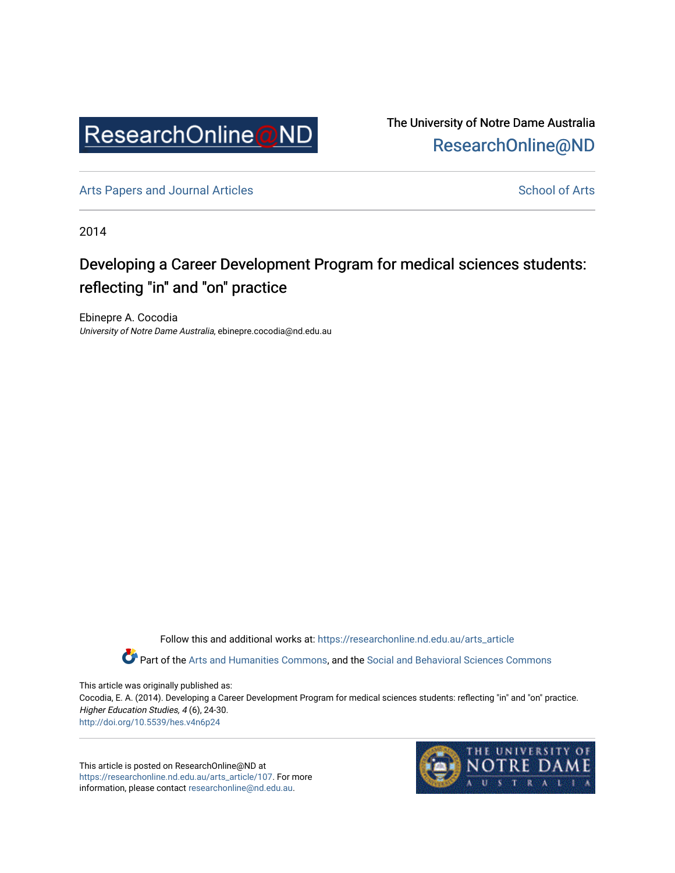

The University of Notre Dame Australia [ResearchOnline@ND](https://researchonline.nd.edu.au/) 

[Arts Papers and Journal Articles](https://researchonline.nd.edu.au/arts_article) and [School of Arts](https://researchonline.nd.edu.au/arts) School of Arts

2014

# Developing a Career Development Program for medical sciences students: reflecting "in" and "on" practice

Ebinepre A. Cocodia University of Notre Dame Australia, ebinepre.cocodia@nd.edu.au

Follow this and additional works at: [https://researchonline.nd.edu.au/arts\\_article](https://researchonline.nd.edu.au/arts_article?utm_source=researchonline.nd.edu.au%2Farts_article%2F107&utm_medium=PDF&utm_campaign=PDFCoverPages) 

Part of the [Arts and Humanities Commons](http://network.bepress.com/hgg/discipline/438?utm_source=researchonline.nd.edu.au%2Farts_article%2F107&utm_medium=PDF&utm_campaign=PDFCoverPages), and the Social and Behavioral Sciences Commons

This article was originally published as: Cocodia, E. A. (2014). Developing a Career Development Program for medical sciences students: reflecting "in" and "on" practice. Higher Education Studies, 4 (6), 24-30. <http://doi.org/10.5539/hes.v4n6p24>

This article is posted on ResearchOnline@ND at [https://researchonline.nd.edu.au/arts\\_article/107](https://researchonline.nd.edu.au/arts_article/107). For more information, please contact [researchonline@nd.edu.au.](mailto:researchonline@nd.edu.au)

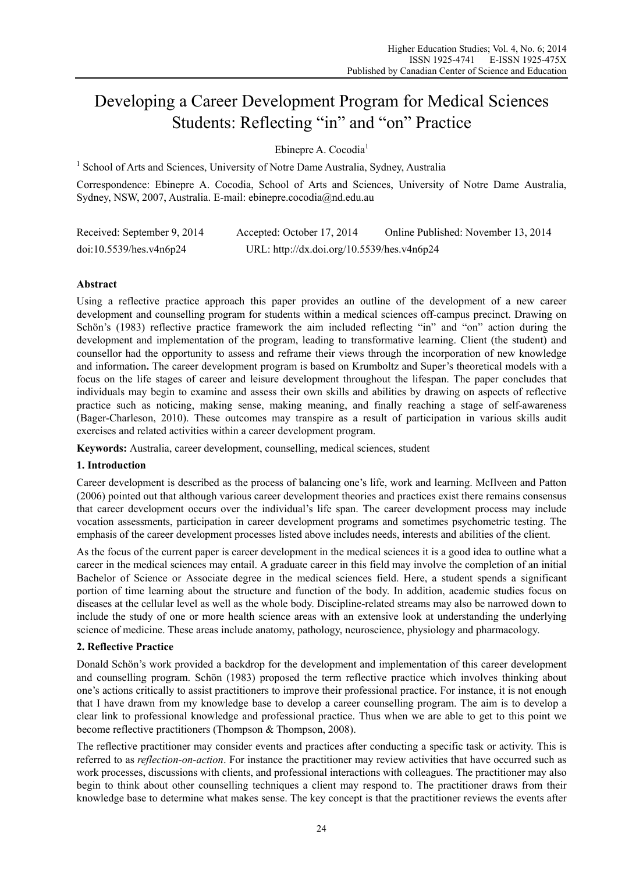# Developing a Career Development Program for Medical Sciences Students: Reflecting "in" and "on" Practice

Ebinepre A. Cocodia<sup>1</sup>

<sup>1</sup> School of Arts and Sciences, University of Notre Dame Australia, Sydney, Australia

Correspondence: Ebinepre A. Cocodia, School of Arts and Sciences, University of Notre Dame Australia, Sydney, NSW, 2007, Australia. E-mail: ebinepre.cocodia@nd.edu.au

| Received: September 9, 2014 | Accepted: October 17, 2014                 | Online Published: November 13, 2014 |
|-----------------------------|--------------------------------------------|-------------------------------------|
| doi:10.5539/hes.v4n6p24     | URL: http://dx.doi.org/10.5539/hes.v4n6p24 |                                     |

# **Abstract**

Using a reflective practice approach this paper provides an outline of the development of a new career development and counselling program for students within a medical sciences off-campus precinct. Drawing on Schön's (1983) reflective practice framework the aim included reflecting "in" and "on" action during the development and implementation of the program, leading to transformative learning. Client (the student) and counsellor had the opportunity to assess and reframe their views through the incorporation of new knowledge and information**.** The career development program is based on Krumboltz and Super's theoretical models with a focus on the life stages of career and leisure development throughout the lifespan. The paper concludes that individuals may begin to examine and assess their own skills and abilities by drawing on aspects of reflective practice such as noticing, making sense, making meaning, and finally reaching a stage of self-awareness (Bager-Charleson, 2010). These outcomes may transpire as a result of participation in various skills audit exercises and related activities within a career development program.

**Keywords:** Australia, career development, counselling, medical sciences, student

# **1. Introduction**

Career development is described as the process of balancing one's life, work and learning. McIlveen and Patton (2006) pointed out that although various career development theories and practices exist there remains consensus that career development occurs over the individual's life span. The career development process may include vocation assessments, participation in career development programs and sometimes psychometric testing. The emphasis of the career development processes listed above includes needs, interests and abilities of the client.

As the focus of the current paper is career development in the medical sciences it is a good idea to outline what a career in the medical sciences may entail. A graduate career in this field may involve the completion of an initial Bachelor of Science or Associate degree in the medical sciences field. Here, a student spends a significant portion of time learning about the structure and function of the body. In addition, academic studies focus on diseases at the cellular level as well as the whole body. Discipline-related streams may also be narrowed down to include the study of one or more health science areas with an extensive look at understanding the underlying science of medicine. These areas include anatomy, pathology, neuroscience, physiology and pharmacology.

# **2. Reflective Practice**

Donald Schön's work provided a backdrop for the development and implementation of this career development and counselling program. Schön (1983) proposed the term reflective practice which involves thinking about one's actions critically to assist practitioners to improve their professional practice. For instance, it is not enough that I have drawn from my knowledge base to develop a career counselling program. The aim is to develop a clear link to professional knowledge and professional practice. Thus when we are able to get to this point we become reflective practitioners (Thompson & Thompson, 2008).

The reflective practitioner may consider events and practices after conducting a specific task or activity. This is referred to as *reflection-on-action*. For instance the practitioner may review activities that have occurred such as work processes, discussions with clients, and professional interactions with colleagues. The practitioner may also begin to think about other counselling techniques a client may respond to. The practitioner draws from their knowledge base to determine what makes sense. The key concept is that the practitioner reviews the events after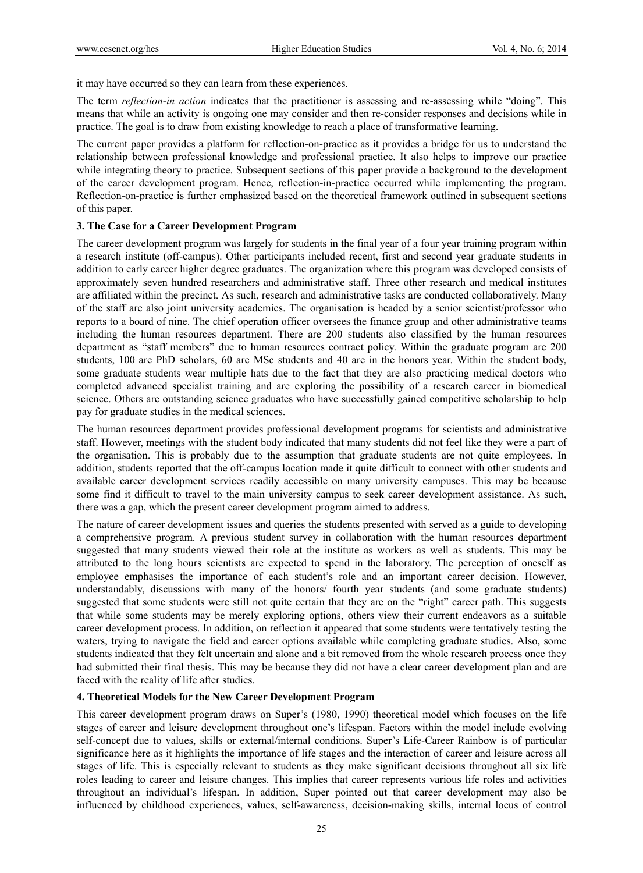it may have occurred so they can learn from these experiences.

The term *reflection-in action* indicates that the practitioner is assessing and re-assessing while "doing". This means that while an activity is ongoing one may consider and then re-consider responses and decisions while in practice. The goal is to draw from existing knowledge to reach a place of transformative learning.

The current paper provides a platform for reflection-on-practice as it provides a bridge for us to understand the relationship between professional knowledge and professional practice. It also helps to improve our practice while integrating theory to practice. Subsequent sections of this paper provide a background to the development of the career development program. Hence, reflection-in-practice occurred while implementing the program. Reflection-on-practice is further emphasized based on the theoretical framework outlined in subsequent sections of this paper.

### **3. The Case for a Career Development Program**

The career development program was largely for students in the final year of a four year training program within a research institute (off-campus). Other participants included recent, first and second year graduate students in addition to early career higher degree graduates. The organization where this program was developed consists of approximately seven hundred researchers and administrative staff. Three other research and medical institutes are affiliated within the precinct. As such, research and administrative tasks are conducted collaboratively. Many of the staff are also joint university academics. The organisation is headed by a senior scientist/professor who reports to a board of nine. The chief operation officer oversees the finance group and other administrative teams including the human resources department. There are 200 students also classified by the human resources department as "staff members" due to human resources contract policy. Within the graduate program are 200 students, 100 are PhD scholars, 60 are MSc students and 40 are in the honors year. Within the student body, some graduate students wear multiple hats due to the fact that they are also practicing medical doctors who completed advanced specialist training and are exploring the possibility of a research career in biomedical science. Others are outstanding science graduates who have successfully gained competitive scholarship to help pay for graduate studies in the medical sciences.

The human resources department provides professional development programs for scientists and administrative staff. However, meetings with the student body indicated that many students did not feel like they were a part of the organisation. This is probably due to the assumption that graduate students are not quite employees. In addition, students reported that the off-campus location made it quite difficult to connect with other students and available career development services readily accessible on many university campuses. This may be because some find it difficult to travel to the main university campus to seek career development assistance. As such, there was a gap, which the present career development program aimed to address.

The nature of career development issues and queries the students presented with served as a guide to developing a comprehensive program. A previous student survey in collaboration with the human resources department suggested that many students viewed their role at the institute as workers as well as students. This may be attributed to the long hours scientists are expected to spend in the laboratory. The perception of oneself as employee emphasises the importance of each student's role and an important career decision. However, understandably, discussions with many of the honors/ fourth year students (and some graduate students) suggested that some students were still not quite certain that they are on the "right" career path. This suggests that while some students may be merely exploring options, others view their current endeavors as a suitable career development process. In addition, on reflection it appeared that some students were tentatively testing the waters, trying to navigate the field and career options available while completing graduate studies. Also, some students indicated that they felt uncertain and alone and a bit removed from the whole research process once they had submitted their final thesis. This may be because they did not have a clear career development plan and are faced with the reality of life after studies.

### **4. Theoretical Models for the New Career Development Program**

This career development program draws on Super's (1980, 1990) theoretical model which focuses on the life stages of career and leisure development throughout one's lifespan. Factors within the model include evolving self-concept due to values, skills or external/internal conditions. Super's Life-Career Rainbow is of particular significance here as it highlights the importance of life stages and the interaction of career and leisure across all stages of life. This is especially relevant to students as they make significant decisions throughout all six life roles leading to career and leisure changes. This implies that career represents various life roles and activities throughout an individual's lifespan. In addition, Super pointed out that career development may also be influenced by childhood experiences, values, self-awareness, decision-making skills, internal locus of control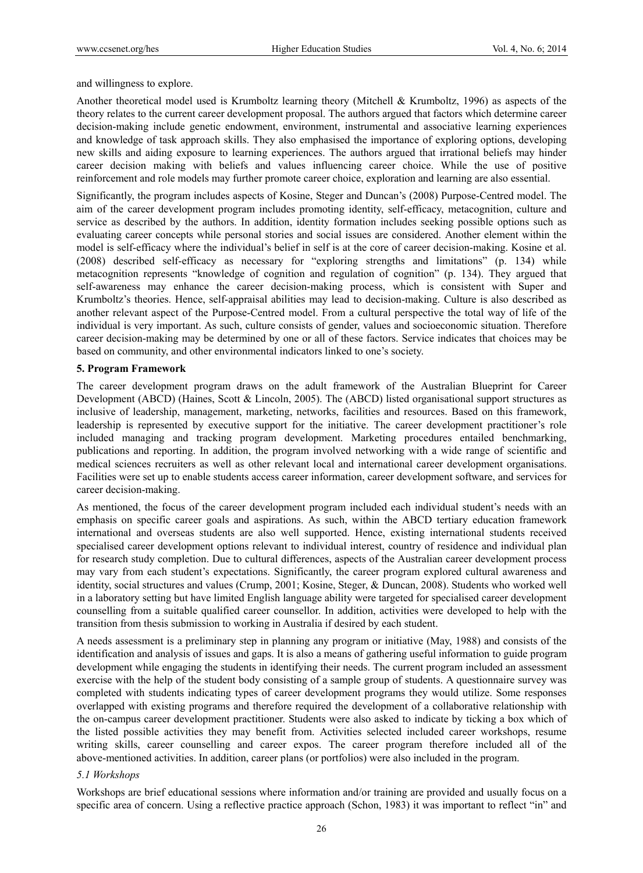and willingness to explore.

Another theoretical model used is Krumboltz learning theory (Mitchell & Krumboltz, 1996) as aspects of the theory relates to the current career development proposal. The authors argued that factors which determine career decision-making include genetic endowment, environment, instrumental and associative learning experiences and knowledge of task approach skills. They also emphasised the importance of exploring options, developing new skills and aiding exposure to learning experiences. The authors argued that irrational beliefs may hinder career decision making with beliefs and values influencing career choice. While the use of positive reinforcement and role models may further promote career choice, exploration and learning are also essential.

Significantly, the program includes aspects of Kosine, Steger and Duncan's (2008) Purpose-Centred model. The aim of the career development program includes promoting identity, self-efficacy, metacognition, culture and service as described by the authors. In addition, identity formation includes seeking possible options such as evaluating career concepts while personal stories and social issues are considered. Another element within the model is self-efficacy where the individual's belief in self is at the core of career decision-making. Kosine et al. (2008) described self-efficacy as necessary for "exploring strengths and limitations" (p. 134) while metacognition represents "knowledge of cognition and regulation of cognition" (p. 134). They argued that self-awareness may enhance the career decision-making process, which is consistent with Super and Krumboltz's theories. Hence, self-appraisal abilities may lead to decision-making. Culture is also described as another relevant aspect of the Purpose-Centred model. From a cultural perspective the total way of life of the individual is very important. As such, culture consists of gender, values and socioeconomic situation. Therefore career decision-making may be determined by one or all of these factors. Service indicates that choices may be based on community, and other environmental indicators linked to one's society.

## **5. Program Framework**

The career development program draws on the adult framework of the Australian Blueprint for Career Development (ABCD) (Haines, Scott & Lincoln, 2005). The (ABCD) listed organisational support structures as inclusive of leadership, management, marketing, networks, facilities and resources. Based on this framework, leadership is represented by executive support for the initiative. The career development practitioner's role included managing and tracking program development. Marketing procedures entailed benchmarking, publications and reporting. In addition, the program involved networking with a wide range of scientific and medical sciences recruiters as well as other relevant local and international career development organisations. Facilities were set up to enable students access career information, career development software, and services for career decision-making.

As mentioned, the focus of the career development program included each individual student's needs with an emphasis on specific career goals and aspirations. As such, within the ABCD tertiary education framework international and overseas students are also well supported. Hence, existing international students received specialised career development options relevant to individual interest, country of residence and individual plan for research study completion. Due to cultural differences, aspects of the Australian career development process may vary from each student's expectations. Significantly, the career program explored cultural awareness and identity, social structures and values (Crump, 2001; Kosine, Steger, & Duncan, 2008). Students who worked well in a laboratory setting but have limited English language ability were targeted for specialised career development counselling from a suitable qualified career counsellor. In addition, activities were developed to help with the transition from thesis submission to working in Australia if desired by each student.

A needs assessment is a preliminary step in planning any program or initiative (May, 1988) and consists of the identification and analysis of issues and gaps. It is also a means of gathering useful information to guide program development while engaging the students in identifying their needs. The current program included an assessment exercise with the help of the student body consisting of a sample group of students. A questionnaire survey was completed with students indicating types of career development programs they would utilize. Some responses overlapped with existing programs and therefore required the development of a collaborative relationship with the on-campus career development practitioner. Students were also asked to indicate by ticking a box which of the listed possible activities they may benefit from. Activities selected included career workshops, resume writing skills, career counselling and career expos. The career program therefore included all of the above-mentioned activities. In addition, career plans (or portfolios) were also included in the program.

# *5.1 Workshops*

Workshops are brief educational sessions where information and/or training are provided and usually focus on a specific area of concern. Using a reflective practice approach (Schon, 1983) it was important to reflect "in" and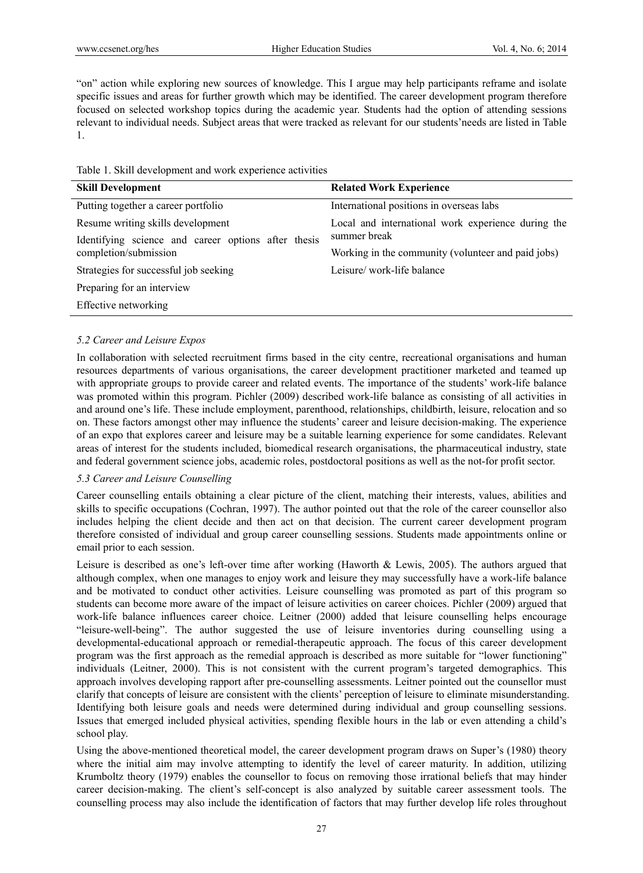"on" action while exploring new sources of knowledge. This I argue may help participants reframe and isolate specific issues and areas for further growth which may be identified. The career development program therefore focused on selected workshop topics during the academic year. Students had the option of attending sessions relevant to individual needs. Subject areas that were tracked as relevant for our students'needs are listed in Table 1.

| <b>Skill Development</b>                            | <b>Related Work Experience</b>                     |
|-----------------------------------------------------|----------------------------------------------------|
| Putting together a career portfolio                 | International positions in overseas labs           |
| Resume writing skills development                   | Local and international work experience during the |
| Identifying science and career options after thesis | summer break                                       |
| completion/submission                               | Working in the community (volunteer and paid jobs) |
| Strategies for successful job seeking               | Leisure/ work-life balance                         |
| Preparing for an interview                          |                                                    |
| Effective networking                                |                                                    |

| Table 1. Skill development and work experience activities |
|-----------------------------------------------------------|
|-----------------------------------------------------------|

### *5.2 Career and Leisure Expos*

In collaboration with selected recruitment firms based in the city centre, recreational organisations and human resources departments of various organisations, the career development practitioner marketed and teamed up with appropriate groups to provide career and related events. The importance of the students' work-life balance was promoted within this program. Pichler (2009) described work-life balance as consisting of all activities in and around one's life. These include employment, parenthood, relationships, childbirth, leisure, relocation and so on. These factors amongst other may influence the students' career and leisure decision-making. The experience of an expo that explores career and leisure may be a suitable learning experience for some candidates. Relevant areas of interest for the students included, biomedical research organisations, the pharmaceutical industry, state and federal government science jobs, academic roles, postdoctoral positions as well as the not-for profit sector.

### *5.3 Career and Leisure Counselling*

Career counselling entails obtaining a clear picture of the client, matching their interests, values, abilities and skills to specific occupations (Cochran, 1997). The author pointed out that the role of the career counsellor also includes helping the client decide and then act on that decision. The current career development program therefore consisted of individual and group career counselling sessions. Students made appointments online or email prior to each session.

Leisure is described as one's left-over time after working (Haworth & Lewis, 2005). The authors argued that although complex, when one manages to enjoy work and leisure they may successfully have a work-life balance and be motivated to conduct other activities. Leisure counselling was promoted as part of this program so students can become more aware of the impact of leisure activities on career choices. Pichler (2009) argued that work-life balance influences career choice. Leitner (2000) added that leisure counselling helps encourage "leisure-well-being". The author suggested the use of leisure inventories during counselling using a developmental-educational approach or remedial-therapeutic approach. The focus of this career development program was the first approach as the remedial approach is described as more suitable for "lower functioning" individuals (Leitner, 2000). This is not consistent with the current program's targeted demographics. This approach involves developing rapport after pre-counselling assessments. Leitner pointed out the counsellor must clarify that concepts of leisure are consistent with the clients' perception of leisure to eliminate misunderstanding. Identifying both leisure goals and needs were determined during individual and group counselling sessions. Issues that emerged included physical activities, spending flexible hours in the lab or even attending a child's school play.

Using the above-mentioned theoretical model, the career development program draws on Super's (1980) theory where the initial aim may involve attempting to identify the level of career maturity. In addition, utilizing Krumboltz theory (1979) enables the counsellor to focus on removing those irrational beliefs that may hinder career decision-making. The client's self-concept is also analyzed by suitable career assessment tools. The counselling process may also include the identification of factors that may further develop life roles throughout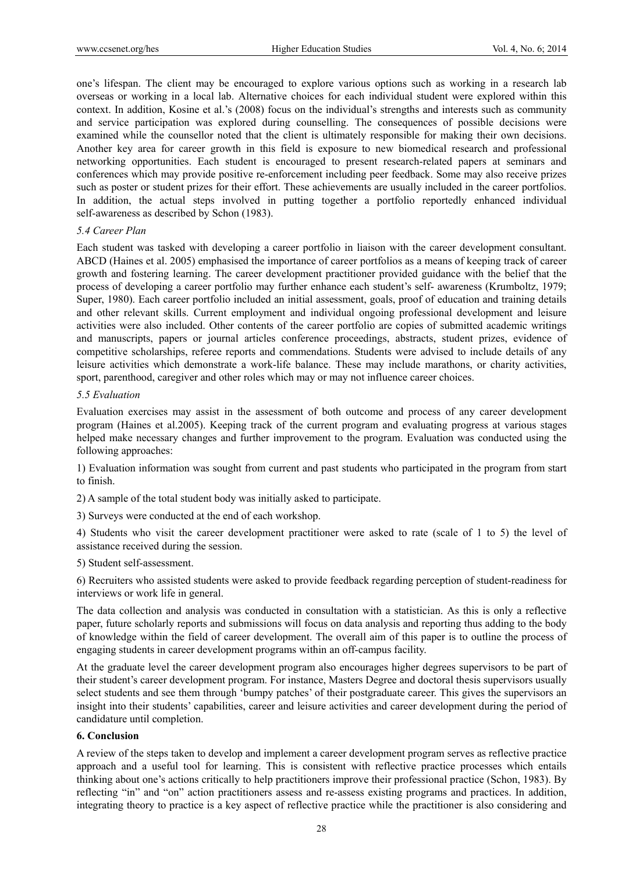one's lifespan. The client may be encouraged to explore various options such as working in a research lab overseas or working in a local lab. Alternative choices for each individual student were explored within this context. In addition, Kosine et al.'s (2008) focus on the individual's strengths and interests such as community and service participation was explored during counselling. The consequences of possible decisions were examined while the counsellor noted that the client is ultimately responsible for making their own decisions. Another key area for career growth in this field is exposure to new biomedical research and professional networking opportunities. Each student is encouraged to present research-related papers at seminars and conferences which may provide positive re-enforcement including peer feedback. Some may also receive prizes such as poster or student prizes for their effort. These achievements are usually included in the career portfolios. In addition, the actual steps involved in putting together a portfolio reportedly enhanced individual self-awareness as described by Schon (1983).

#### *5.4 Career Plan*

Each student was tasked with developing a career portfolio in liaison with the career development consultant. ABCD (Haines et al. 2005) emphasised the importance of career portfolios as a means of keeping track of career growth and fostering learning. The career development practitioner provided guidance with the belief that the process of developing a career portfolio may further enhance each student's self- awareness (Krumboltz, 1979; Super, 1980). Each career portfolio included an initial assessment, goals, proof of education and training details and other relevant skills. Current employment and individual ongoing professional development and leisure activities were also included. Other contents of the career portfolio are copies of submitted academic writings and manuscripts, papers or journal articles conference proceedings, abstracts, student prizes, evidence of competitive scholarships, referee reports and commendations. Students were advised to include details of any leisure activities which demonstrate a work-life balance. These may include marathons, or charity activities, sport, parenthood, caregiver and other roles which may or may not influence career choices.

#### *5.5 Evaluation*

Evaluation exercises may assist in the assessment of both outcome and process of any career development program (Haines et al.2005). Keeping track of the current program and evaluating progress at various stages helped make necessary changes and further improvement to the program. Evaluation was conducted using the following approaches:

1) Evaluation information was sought from current and past students who participated in the program from start to finish.

2) A sample of the total student body was initially asked to participate.

3) Surveys were conducted at the end of each workshop.

4) Students who visit the career development practitioner were asked to rate (scale of 1 to 5) the level of assistance received during the session.

5) Student self-assessment.

6) Recruiters who assisted students were asked to provide feedback regarding perception of student-readiness for interviews or work life in general.

The data collection and analysis was conducted in consultation with a statistician. As this is only a reflective paper, future scholarly reports and submissions will focus on data analysis and reporting thus adding to the body of knowledge within the field of career development. The overall aim of this paper is to outline the process of engaging students in career development programs within an off-campus facility.

At the graduate level the career development program also encourages higher degrees supervisors to be part of their student's career development program. For instance, Masters Degree and doctoral thesis supervisors usually select students and see them through 'bumpy patches' of their postgraduate career. This gives the supervisors an insight into their students' capabilities, career and leisure activities and career development during the period of candidature until completion.

#### **6. Conclusion**

A review of the steps taken to develop and implement a career development program serves as reflective practice approach and a useful tool for learning. This is consistent with reflective practice processes which entails thinking about one's actions critically to help practitioners improve their professional practice (Schon, 1983). By reflecting "in" and "on" action practitioners assess and re-assess existing programs and practices. In addition, integrating theory to practice is a key aspect of reflective practice while the practitioner is also considering and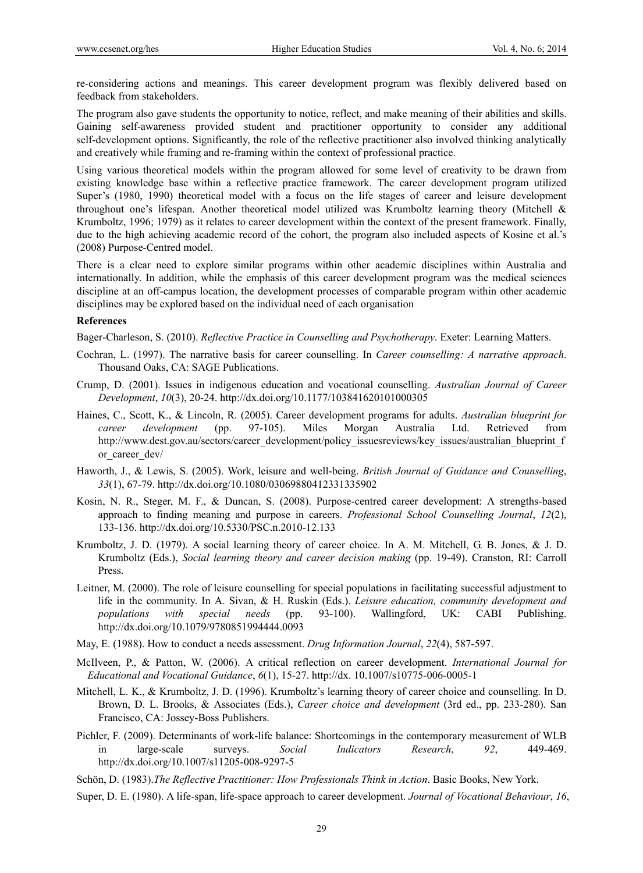re-considering actions and meanings. This career development program was flexibly delivered based on feedback from stakeholders.

The program also gave students the opportunity to notice, reflect, and make meaning of their abilities and skills. Gaining self-awareness provided student and practitioner opportunity to consider any additional self-development options. Significantly, the role of the reflective practitioner also involved thinking analytically and creatively while framing and re-framing within the context of professional practice.

Using various theoretical models within the program allowed for some level of creativity to be drawn from existing knowledge base within a reflective practice framework. The career development program utilized Super's (1980, 1990) theoretical model with a focus on the life stages of career and leisure development throughout one's lifespan. Another theoretical model utilized was Krumboltz learning theory (Mitchell & Krumboltz, 1996; 1979) as it relates to career development within the context of the present framework. Finally, due to the high achieving academic record of the cohort, the program also included aspects of Kosine et al.'s (2008) Purpose-Centred model.

There is a clear need to explore similar programs within other academic disciplines within Australia and internationally. In addition, while the emphasis of this career development program was the medical sciences discipline at an off-campus location, the development processes of comparable program within other academic disciplines may be explored based on the individual need of each organisation

#### **References**

Bager-Charleson, S. (2010). *Reflective Practice in Counselling and Psychotherapy*. Exeter: Learning Matters.

- Cochran, L. (1997). The narrative basis for career counselling. In *Career counselling: A narrative approach*. Thousand Oaks, CA: SAGE Publications.
- Crump, D. (2001). Issues in indigenous education and vocational counselling. *Australian Journal of Career Development*, *10*(3), 20-24. http://dx.doi.org/10.1177/103841620101000305
- Haines, C., Scott, K., & Lincoln, R. (2005). Career development programs for adults. *Australian blueprint for career development* (pp. 97-105). Miles Morgan Australia Ltd. Retrieved from http://www.dest.gov.au/sectors/career\_development/policy\_issuesreviews/key\_issues/australian\_blueprint\_f or career dev/
- Haworth, J., & Lewis, S. (2005). Work, leisure and well-being. *British Journal of Guidance and Counselling*, *33*(1), 67-79. http://dx.doi.org/10.1080/03069880412331335902
- Kosin, N. R., Steger, M. F., & Duncan, S. (2008). Purpose-centred career development: A strengths-based approach to finding meaning and purpose in careers. *Professional School Counselling Journal*, *12*(2), 133-136. http://dx.doi.org/10.5330/PSC.n.2010-12.133
- Krumboltz, J. D. (1979). A social learning theory of career choice. In A. M. Mitchell, G. B. Jones, & J. D. Krumboltz (Eds.), *Social learning theory and career decision making* (pp. 19-49). Cranston, RI: Carroll Press.
- Leitner, M. (2000). The role of leisure counselling for special populations in facilitating successful adjustment to life in the community. In A. Sivan, & H. Ruskin (Eds.). *Leisure education, community development and populations with special needs* (pp. 93-100). Wallingford, UK: CABI Publishing. http://dx.doi.org/10.1079/9780851994444.0093
- May, E. (1988). How to conduct a needs assessment. *Drug Information Journal*, *22*(4), 587-597.
- McIlveen, P., & Patton, W. (2006). A critical reflection on career development. *International Journal for Educational and Vocational Guidance*, *6*(1), 15-27. http://dx. 10.1007/s10775-006-0005-1
- Mitchell, L. K., & Krumboltz, J. D. (1996). Krumboltz's learning theory of career choice and counselling. In D. Brown, D. L. Brooks, & Associates (Eds.), *Career choice and development* (3rd ed., pp. 233-280). San Francisco, CA: Jossey-Boss Publishers.
- Pichler, F. (2009). Determinants of work-life balance: Shortcomings in the contemporary measurement of WLB in large-scale surveys. *Social Indicators Research*, *92*, 449-469. http://dx.doi.org/10.1007/s11205-008-9297-5
- Schön, D. (1983).*The Reflective Practitioner: How Professionals Think in Action*. Basic Books, New York.
- Super, D. E. (1980). A life-span, life-space approach to career development. *Journal of Vocational Behaviour*, *16*,